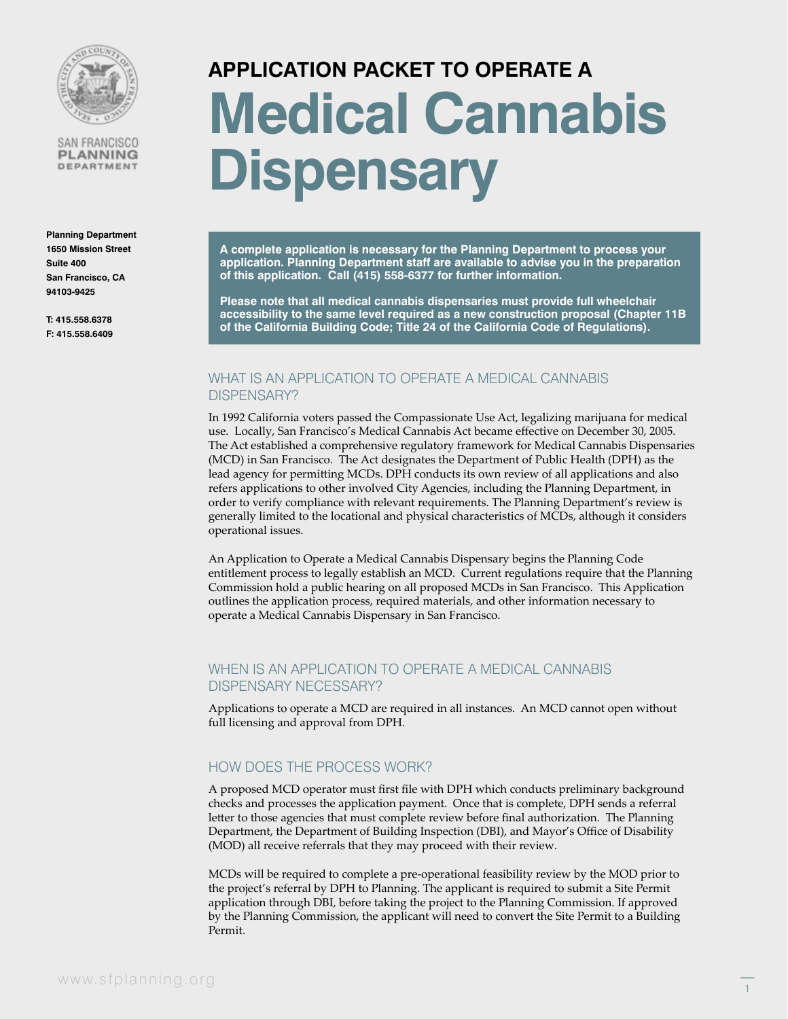

SAN FRANCISCO **PLANNING** DEPARTMENT

**Planning Department 1650 Mission Street Suite 400 San Francisco, CA 94103-9425**

**T: 415.558.6378 F: 415.558.6409**

# **APPLICATION PACKET TO OPERATE A Medical Cannabis Dispensary**

**A complete application is necessary for the Planning Department to process your application. Planning Department staff are available to advise you in the preparation of this application. Call (415) 558-6377 for further information.**

**Please note that all medical cannabis dispensaries must provide full wheelchair accessibility to the same level required as a new construction proposal (Chapter 11B of the California Building Code; Title 24 of the California Code of Regulations).**

### WHAT IS AN APPLICATION TO OPERATE A MEDICAL CANNABIS DISPENSARY?

In 1992 California voters passed the Compassionate Use Act, legalizing marijuana for medical use. Locally, San Francisco's Medical Cannabis Act became effective on December 30, 2005. The Act established a comprehensive regulatory framework for Medical Cannabis Dispensaries (MCD) in San Francisco. The Act designates the Department of Public Health (DPH) as the lead agency for permitting MCDs. DPH conducts its own review of all applications and also refers applications to other involved City Agencies, including the Planning Department, in order to verify compliance with relevant requirements. The Planning Department's review is generally limited to the locational and physical characteristics of MCDs, although it considers operational issues.

An Application to Operate a Medical Cannabis Dispensary begins the Planning Code entitlement process to legally establish an MCD. Current regulations require that the Planning Commission hold a public hearing on all proposed MCDs in San Francisco. This Application outlines the application process, required materials, and other information necessary to operate a Medical Cannabis Dispensary in San Francisco.

## WHEN IS AN APPLICATION TO OPERATE A MEDICAL CANNABIS DISPENSARY NECESSARY?

Applications to operate a MCD are required in all instances. An MCD cannot open without full licensing and approval from DPH.

## HOW DOES THE PROCESS WORK?

A proposed MCD operator must first file with DPH which conducts preliminary background checks and processes the application payment. Once that is complete, DPH sends a referral letter to those agencies that must complete review before final authorization. The Planning Department, the Department of Building Inspection (DBI), and Mayor's Office of Disability (MOD) all receive referrals that they may proceed with their review.

MCDs will be required to complete a pre-operational feasibility review by the MOD prior to the project's referral by DPH to Planning. The applicant is required to submit a Site Permit application through DBI, before taking the project to the Planning Commission. If approved by the Planning Commission, the applicant will need to convert the Site Permit to a Building Permit.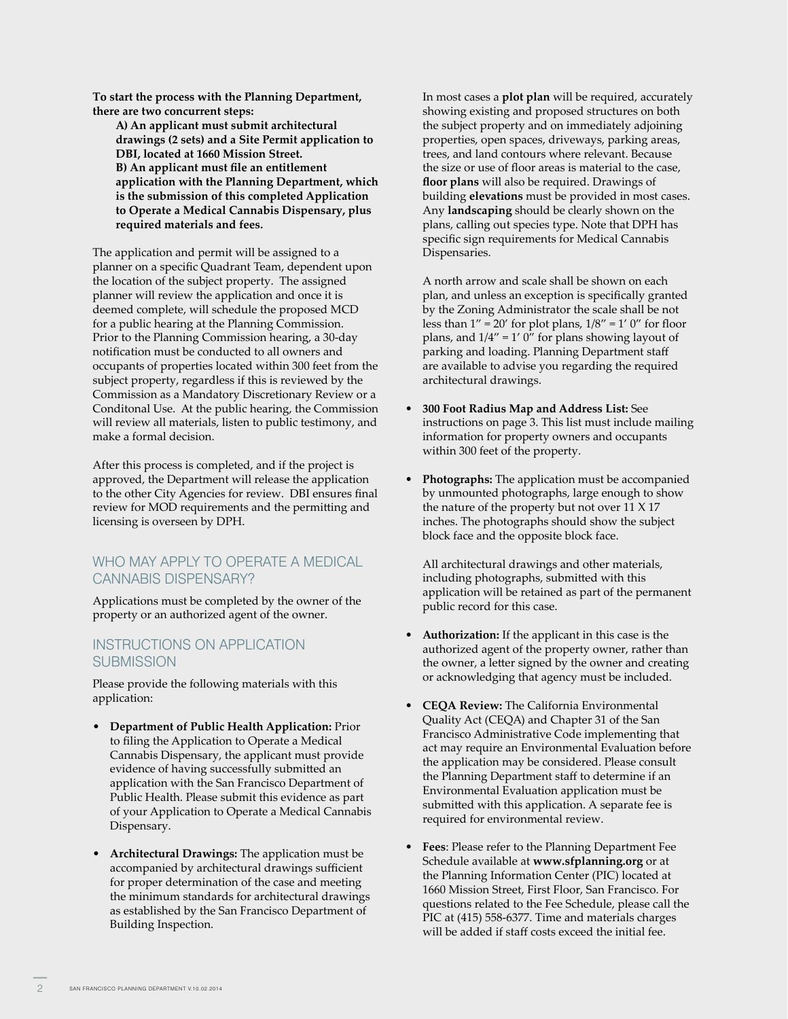**To start the process with the Planning Department, there are two concurrent steps:**

**A) An applicant must submit architectural drawings (2 sets) and a Site Permit application to DBI, located at 1660 Mission Street. B) An applicant must file an entitlement application with the Planning Department, which is the submission of this completed Application to Operate a Medical Cannabis Dispensary, plus required materials and fees.** 

The application and permit will be assigned to a planner on a specific Quadrant Team, dependent upon the location of the subject property. The assigned planner will review the application and once it is deemed complete, will schedule the proposed MCD for a public hearing at the Planning Commission. Prior to the Planning Commission hearing, a 30-day notification must be conducted to all owners and occupants of properties located within 300 feet from the subject property, regardless if this is reviewed by the Commission as a Mandatory Discretionary Review or a Conditonal Use. At the public hearing, the Commission will review all materials, listen to public testimony, and make a formal decision.

After this process is completed, and if the project is approved, the Department will release the application to the other City Agencies for review. DBI ensures final review for MOD requirements and the permitting and licensing is overseen by DPH.

### WHO MAY APPLY TO OPERATE A MEDICAL CANNABIS DISPENSARY?

Applications must be completed by the owner of the property or an authorized agent of the owner.

### INSTRUCTIONS ON APPLICATION **SUBMISSION**

Please provide the following materials with this application:

- **Department of Public Health Application:** Prior to filing the Application to Operate a Medical Cannabis Dispensary, the applicant must provide evidence of having successfully submitted an application with the San Francisco Department of Public Health. Please submit this evidence as part of your Application to Operate a Medical Cannabis Dispensary.
- **Architectural Drawings:** The application must be accompanied by architectural drawings sufficient for proper determination of the case and meeting the minimum standards for architectural drawings as established by the San Francisco Department of Building Inspection.

In most cases a **plot plan** will be required, accurately showing existing and proposed structures on both the subject property and on immediately adjoining properties, open spaces, driveways, parking areas, trees, and land contours where relevant. Because the size or use of floor areas is material to the case, **floor plans** will also be required. Drawings of building **elevations** must be provided in most cases. Any **landscaping** should be clearly shown on the plans, calling out species type. Note that DPH has specific sign requirements for Medical Cannabis Dispensaries.

A north arrow and scale shall be shown on each plan, and unless an exception is specifically granted by the Zoning Administrator the scale shall be not less than  $1'' = 20'$  for plot plans,  $1/8'' = 1' 0''$  for floor plans, and  $1/4" = 1' 0"$  for plans showing layout of parking and loading. Planning Department staff are available to advise you regarding the required architectural drawings.

- **300 Foot Radius Map and Address List:** See instructions on page 3. This list must include mailing information for property owners and occupants within 300 feet of the property.
- **Photographs:** The application must be accompanied by unmounted photographs, large enough to show the nature of the property but not over 11 X 17 inches. The photographs should show the subject block face and the opposite block face.

All architectural drawings and other materials, including photographs, submitted with this application will be retained as part of the permanent public record for this case.

- **Authorization:** If the applicant in this case is the authorized agent of the property owner, rather than the owner, a letter signed by the owner and creating or acknowledging that agency must be included.
- **CEQA Review:** The California Environmental Quality Act (CEQA) and Chapter 31 of the San Francisco Administrative Code implementing that act may require an Environmental Evaluation before the application may be considered. Please consult the Planning Department staff to determine if an Environmental Evaluation application must be submitted with this application. A separate fee is required for environmental review.
- **Fees**: Please refer to the Planning Department Fee Schedule available at **www.sfplanning.org** or at the Planning Information Center (PIC) located at 1660 Mission Street, First Floor, San Francisco. For questions related to the Fee Schedule, please call the PIC at (415) 558-6377. Time and materials charges will be added if staff costs exceed the initial fee.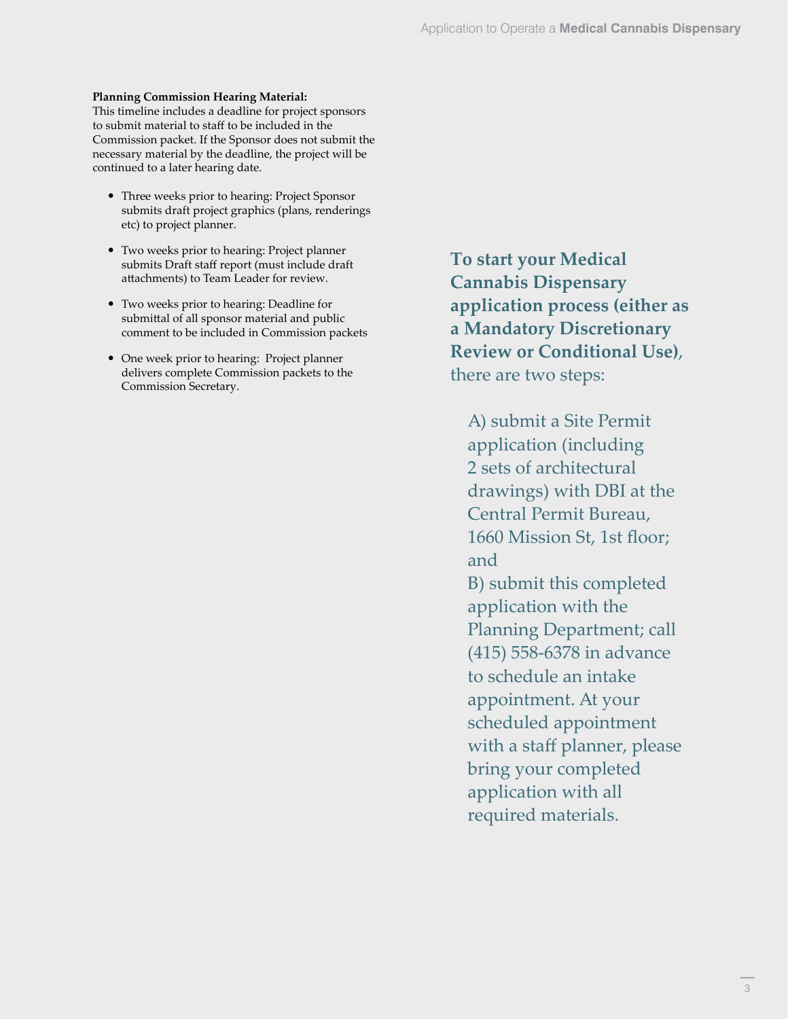### **Planning Commission Hearing Material:**

This timeline includes a deadline for project sponsors to submit material to staff to be included in the Commission packet. If the Sponsor does not submit the necessary material by the deadline, the project will be continued to a later hearing date.

- Three weeks prior to hearing: Project Sponsor submits draft project graphics (plans, renderings etc) to project planner.
- Two weeks prior to hearing: Project planner submits Draft staff report (must include draft attachments) to Team Leader for review.
- Two weeks prior to hearing: Deadline for submittal of all sponsor material and public comment to be included in Commission packets
- One week prior to hearing: Project planner delivers complete Commission packets to the Commission Secretary.

**To start your Medical Cannabis Dispensary application process (either as a Mandatory Discretionary Review or Conditional Use)**, there are two steps:

A) submit a Site Permit application (including 2 sets of architectural drawings) with DBI at the Central Permit Bureau, 1660 Mission St, 1st floor; and B) submit this completed application with the Planning Department; call (415) 558-6378 in advance to schedule an intake appointment. At your scheduled appointment with a staff planner, please bring your completed application with all required materials.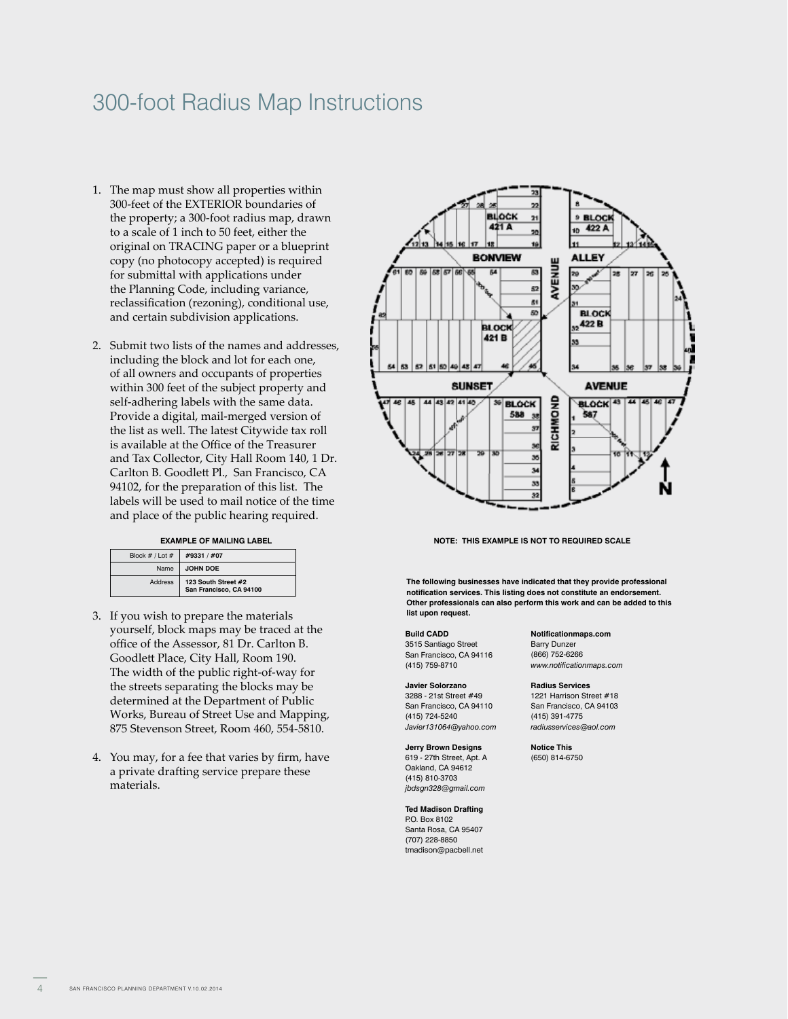## 300-foot Radius Map Instructions

- 1. The map must show all properties within 300-feet of the EXTERIOR boundaries of the property; a 300-foot radius map, drawn to a scale of 1 inch to 50 feet, either the original on TRACING paper or a blueprint copy (no photocopy accepted) is required for submittal with applications under the Planning Code, including variance, reclassification (rezoning), conditional use, and certain subdivision applications.
- 2. Submit two lists of the names and addresses, including the block and lot for each one, of all owners and occupants of properties within 300 feet of the subject property and self-adhering labels with the same data. Provide a digital, mail-merged version of the list as well. The latest Citywide tax roll is available at the Office of the Treasurer and Tax Collector, City Hall Room 140, 1 Dr. Carlton B. Goodlett Pl., San Francisco, CA 94102, for the preparation of this list. The labels will be used to mail notice of the time and place of the public hearing required.

#### **EXAMPLE OF MAILING LABEL**

| Block $# /$ Lot $#$ | #9331 / #07                                    |
|---------------------|------------------------------------------------|
| Name                | <b>JOHN DOE</b>                                |
| Address             | 123 South Street #2<br>San Francisco. CA 94100 |

- 3. If you wish to prepare the materials yourself, block maps may be traced at the office of the Assessor, 81 Dr. Carlton B. Goodlett Place, City Hall, Room 190. The width of the public right-of-way for the streets separating the blocks may be determined at the Department of Public Works, Bureau of Street Use and Mapping, 875 Stevenson Street, Room 460, 554-5810.
- 4. You may, for a fee that varies by firm, have a private drafting service prepare these materials.



**NOTE: THIS EXAMPLE IS NOT TO REQUIRED SCALE**

**The following businesses have indicated that they provide professional notification services. This listing does not constitute an endorsement. Other professionals can also perform this work and can be added to this list upon request.**

**Build CADD** 3515 Santiago Street San Francisco, CA 94116 (415) 759-8710

#### **Javier Solorzano** 3288 - 21st Street #49

San Francisco, CA 94110 (415) 724-5240 *Javier131064@yahoo.com*

**Jerry Brown Designs** 619 - 27th Street, Apt. A Oakland, CA 94612 (415) 810-3703 *jbdsgn328@gmail.com*

**Ted Madison Drafting** P.O. Box 8102 Santa Rosa, CA 95407 (707) 228-8850 tmadison@pacbell.net

#### **Notificationmaps.com**

Barry Dunzer (866) 752-6266 *www.notificationmaps.com*

#### **Radius Services**

1221 Harrison Street #18 San Francisco, CA 94103 (415) 391-4775 *radiusservices@aol.com*

**Notice This** (650) 814-6750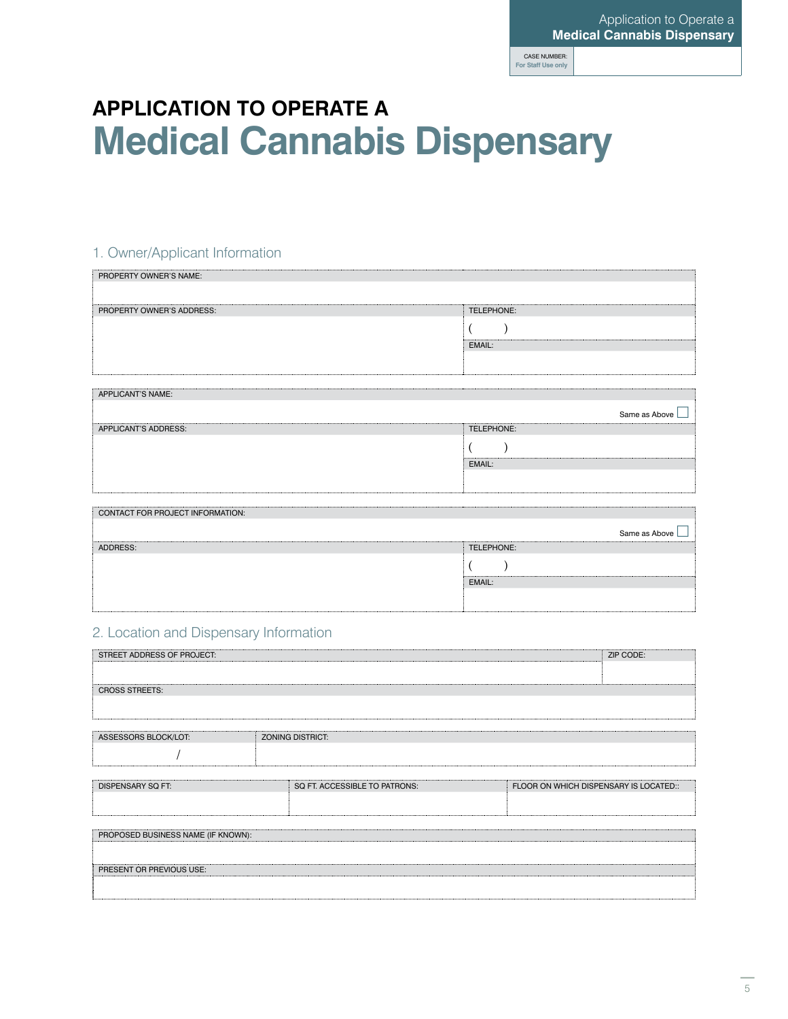## **APPLICATION TO OPERATE A Medical Cannabis Dispensary**

## 1. Owner/Applicant Information

| PROPERTY OWNER'S NAME:      |               |
|-----------------------------|---------------|
|                             |               |
| PROPERTY OWNER'S ADDRESS:   | TELEPHONE:    |
|                             |               |
|                             | EMAIL:        |
|                             |               |
|                             |               |
|                             |               |
| <b>APPLICANT'S NAME:</b>    |               |
|                             | Same as Above |
| <b>APPLICANT'S ADDRESS:</b> | TELEPHONE:    |
|                             |               |

EMAIL:

| CONTACT FOR PROJECT INFORMATION: |               |
|----------------------------------|---------------|
|                                  | Same as Above |
| ADDRESS:                         | TELEPHONE:    |
|                                  |               |
|                                  | EMAIL:        |
|                                  |               |
|                                  |               |

## 2. Location and Dispensary Information

| STREET ADDRESS OF PROJECT:         |  |                               | ZIP CODE:                              |
|------------------------------------|--|-------------------------------|----------------------------------------|
|                                    |  |                               |                                        |
| <b>CROSS STREETS:</b>              |  |                               |                                        |
|                                    |  |                               |                                        |
|                                    |  |                               |                                        |
| ASSESSORS BLOCK/LOT:               |  | <b>ZONING DISTRICT:</b>       |                                        |
|                                    |  |                               |                                        |
|                                    |  |                               |                                        |
| <b>DISPENSARY SQ FT:</b>           |  | SQ FT. ACCESSIBLE TO PATRONS: | FLOOR ON WHICH DISPENSARY IS LOCATED:: |
|                                    |  |                               |                                        |
|                                    |  |                               |                                        |
| PROPOSED BUSINESS NAME (IF KNOWN): |  |                               |                                        |
|                                    |  |                               |                                        |
| PRESENT OR PREVIOUS USE:           |  |                               |                                        |
|                                    |  |                               |                                        |
|                                    |  |                               |                                        |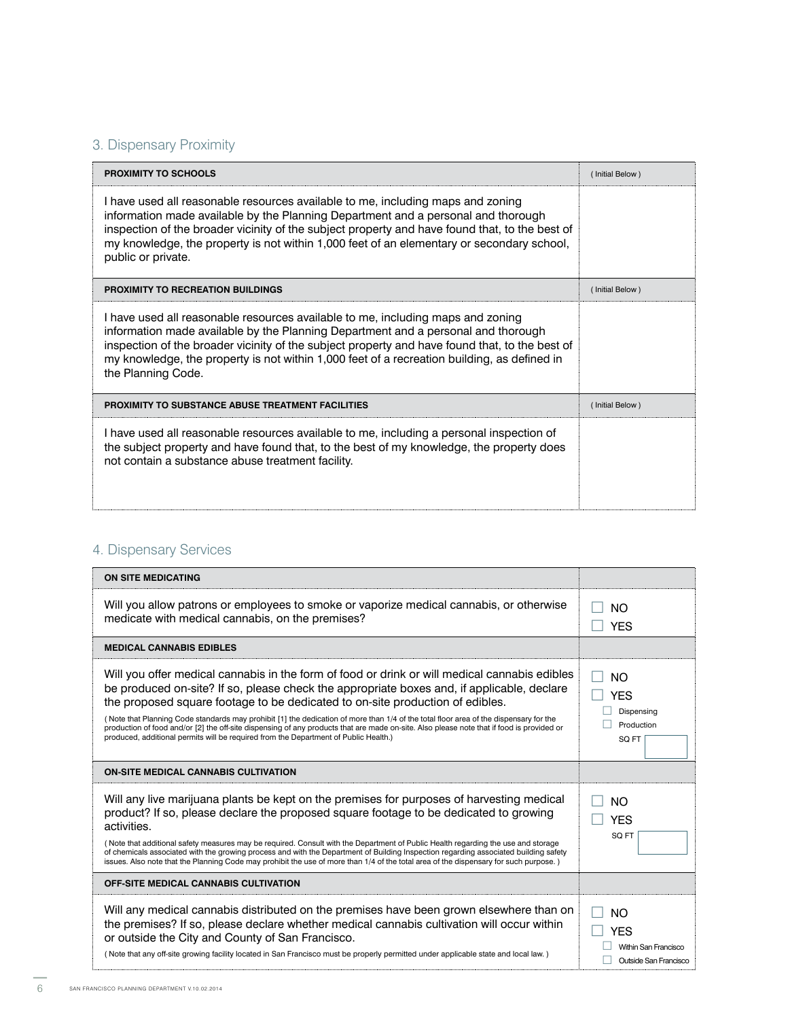## 3. Dispensary Proximity

| PROXIMITY TO SCHOOLS                                                                                                                                                                                                                                                                                                                                                                        | (Initial Below) |
|---------------------------------------------------------------------------------------------------------------------------------------------------------------------------------------------------------------------------------------------------------------------------------------------------------------------------------------------------------------------------------------------|-----------------|
| I have used all reasonable resources available to me, including maps and zoning<br>information made available by the Planning Department and a personal and thorough<br>inspection of the broader vicinity of the subject property and have found that, to the best of<br>my knowledge, the property is not within 1,000 feet of an elementary or secondary school,<br>public or private.   |                 |
| PROXIMITY TO RECREATION BUILDINGS                                                                                                                                                                                                                                                                                                                                                           | (Initial Below) |
| I have used all reasonable resources available to me, including maps and zoning<br>information made available by the Planning Department and a personal and thorough<br>inspection of the broader vicinity of the subject property and have found that, to the best of<br>my knowledge, the property is not within 1,000 feet of a recreation building, as defined in<br>the Planning Code. |                 |
| <b>PROXIMITY TO SUBSTANCE ABUSE TREATMENT FACILITIES</b>                                                                                                                                                                                                                                                                                                                                    | (Initial Below) |
| I have used all reasonable resources available to me, including a personal inspection of<br>the subject property and have found that, to the best of my knowledge, the property does<br>not contain a substance abuse treatment facility.                                                                                                                                                   |                 |

## 4. Dispensary Services

| <b>ON SITE MEDICATING</b>                                                                                                                                                                                                                                                                                                                                                                                                                                                                                                                                                                                                                                  |                                                                          |
|------------------------------------------------------------------------------------------------------------------------------------------------------------------------------------------------------------------------------------------------------------------------------------------------------------------------------------------------------------------------------------------------------------------------------------------------------------------------------------------------------------------------------------------------------------------------------------------------------------------------------------------------------------|--------------------------------------------------------------------------|
| Will you allow patrons or employees to smoke or vaporize medical cannabis, or otherwise<br>medicate with medical cannabis, on the premises?                                                                                                                                                                                                                                                                                                                                                                                                                                                                                                                | <b>NO</b><br><b>YES</b>                                                  |
| <b>MEDICAL CANNABIS EDIBLES</b>                                                                                                                                                                                                                                                                                                                                                                                                                                                                                                                                                                                                                            |                                                                          |
| Will you offer medical cannabis in the form of food or drink or will medical cannabis edibles<br>be produced on-site? If so, please check the appropriate boxes and, if applicable, declare<br>the proposed square footage to be dedicated to on-site production of edibles.<br>(Note that Planning Code standards may prohibit [1] the dedication of more than 1/4 of the total floor area of the dispensary for the<br>production of food and/or [2] the off-site dispensing of any products that are made on-site. Also please note that if food is provided or<br>produced, additional permits will be required from the Department of Public Health.) | <b>NO</b><br><b>YES</b><br>Dispensing<br>Production<br>SQ FT             |
| <b>ON-SITE MEDICAL CANNABIS CULTIVATION</b>                                                                                                                                                                                                                                                                                                                                                                                                                                                                                                                                                                                                                |                                                                          |
| Will any live marijuana plants be kept on the premises for purposes of harvesting medical<br>product? If so, please declare the proposed square footage to be dedicated to growing<br>activities.<br>(Note that additional safety measures may be required. Consult with the Department of Public Health regarding the use and storage<br>of chemicals associated with the growing process and with the Department of Building Inspection regarding associated building safety<br>issues. Also note that the Planning Code may prohibit the use of more than 1/4 of the total area of the dispensary for such purpose.)                                    | <b>NO</b><br><b>YES</b><br>SQ FT                                         |
| <b>OFF-SITE MEDICAL CANNABIS CULTIVATION</b>                                                                                                                                                                                                                                                                                                                                                                                                                                                                                                                                                                                                               |                                                                          |
| Will any medical cannabis distributed on the premises have been grown elsewhere than on<br>the premises? If so, please declare whether medical cannabis cultivation will occur within<br>or outside the City and County of San Francisco.<br>(Note that any off-site growing facility located in San Francisco must be properly permitted under applicable state and local law.)                                                                                                                                                                                                                                                                           | <b>NO</b><br><b>YES</b><br>Within San Francisco<br>Outside San Francisco |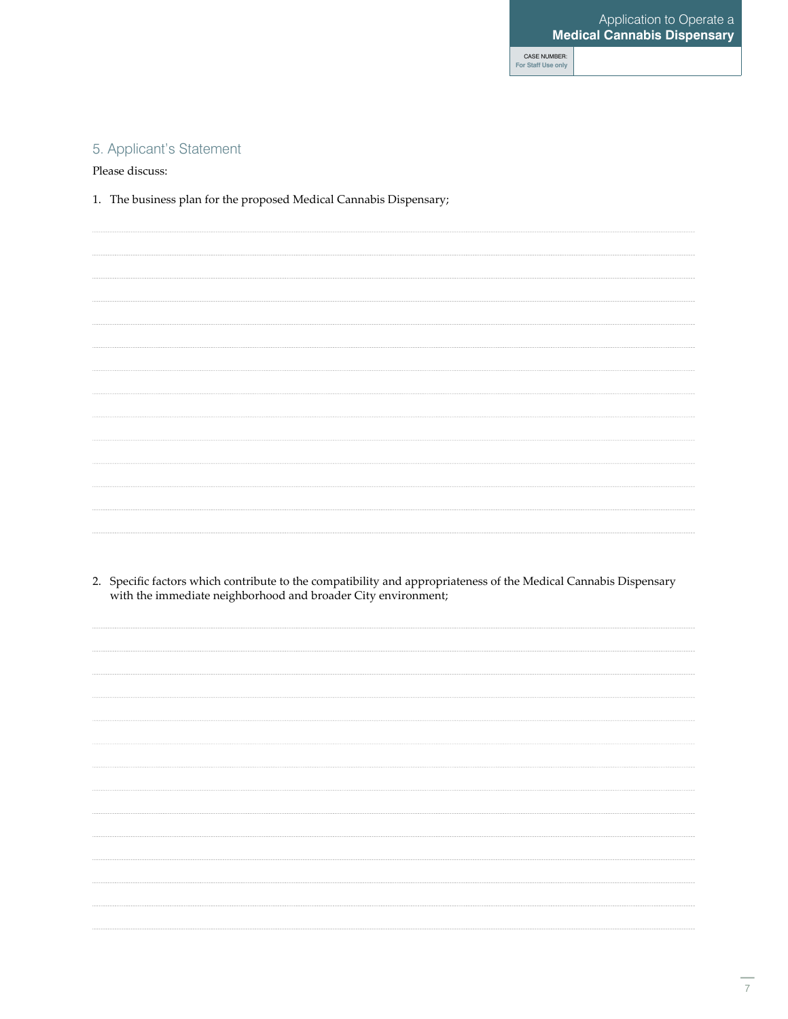## 5. Applicant's Statement

Please discuss:

1. The business plan for the proposed Medical Cannabis Dispensary;

2. Specific factors which contribute to the compatibility and appropriateness of the Medical Cannabis Dispensary with the immediate neighborhood and broader City environment;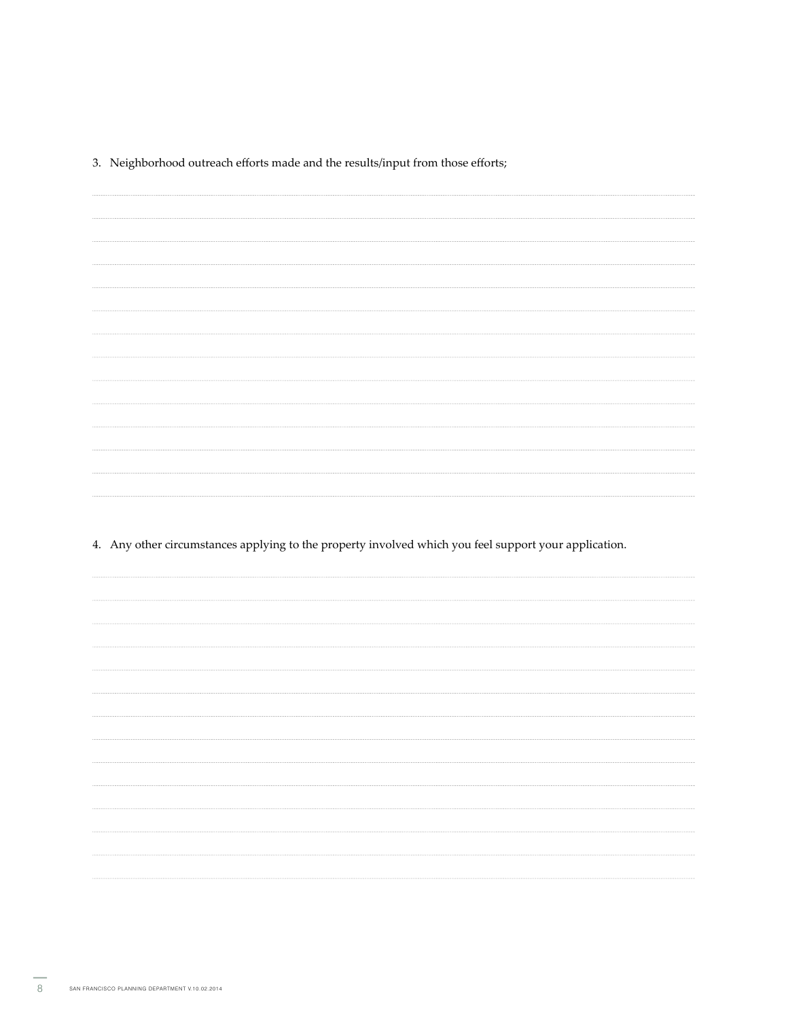3. Neighborhood outreach efforts made and the results/input from those efforts;

4. Any other circumstances applying to the property involved which you feel support your application.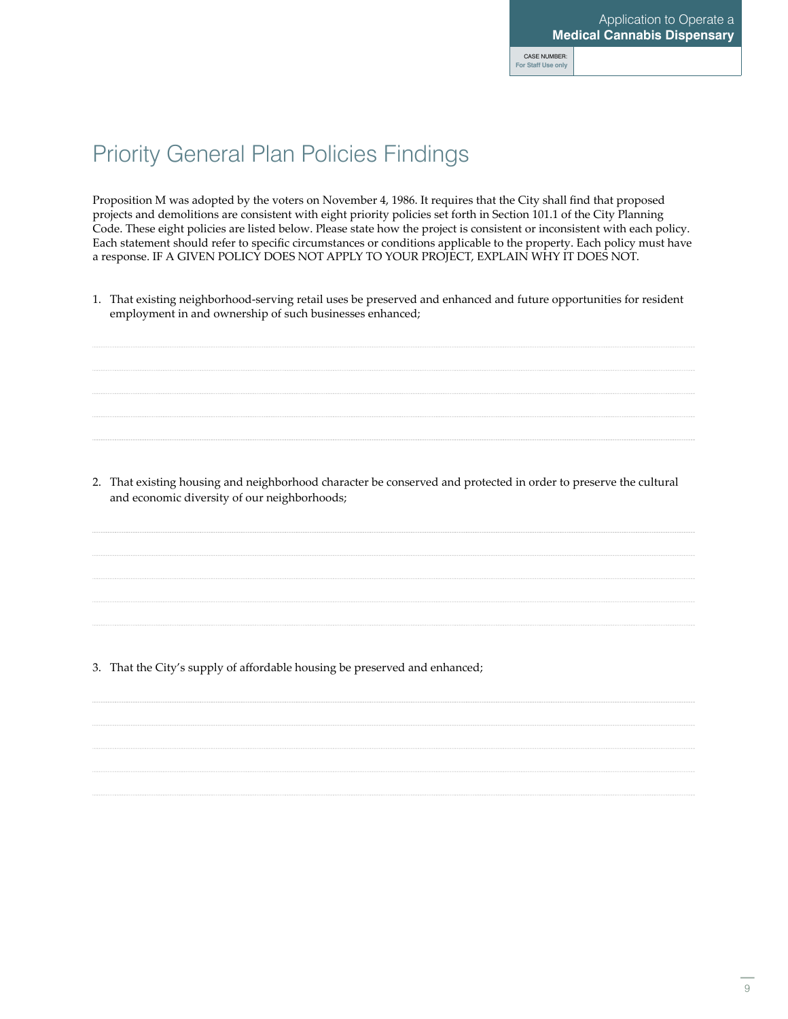## Priority General Plan Policies Findings

Proposition M was adopted by the voters on November 4, 1986. It requires that the City shall find that proposed projects and demolitions are consistent with eight priority policies set forth in Section 101.1 of the City Planning Code. These eight policies are listed below. Please state how the project is consistent or inconsistent with each policy. Each statement should refer to specific circumstances or conditions applicable to the property. Each policy must have a response. IF A GIVEN POLICY DOES NOT APPLY TO YOUR PROJECT, EXPLAIN WHY IT DOES NOT.

1. That existing neighborhood-serving retail uses be preserved and enhanced and future opportunities for resident employment in and ownership of such businesses enhanced;

2. That existing housing and neighborhood character be conserved and protected in order to preserve the cultural and economic diversity of our neighborhoods;

3. That the City's supply of affordable housing be preserved and enhanced;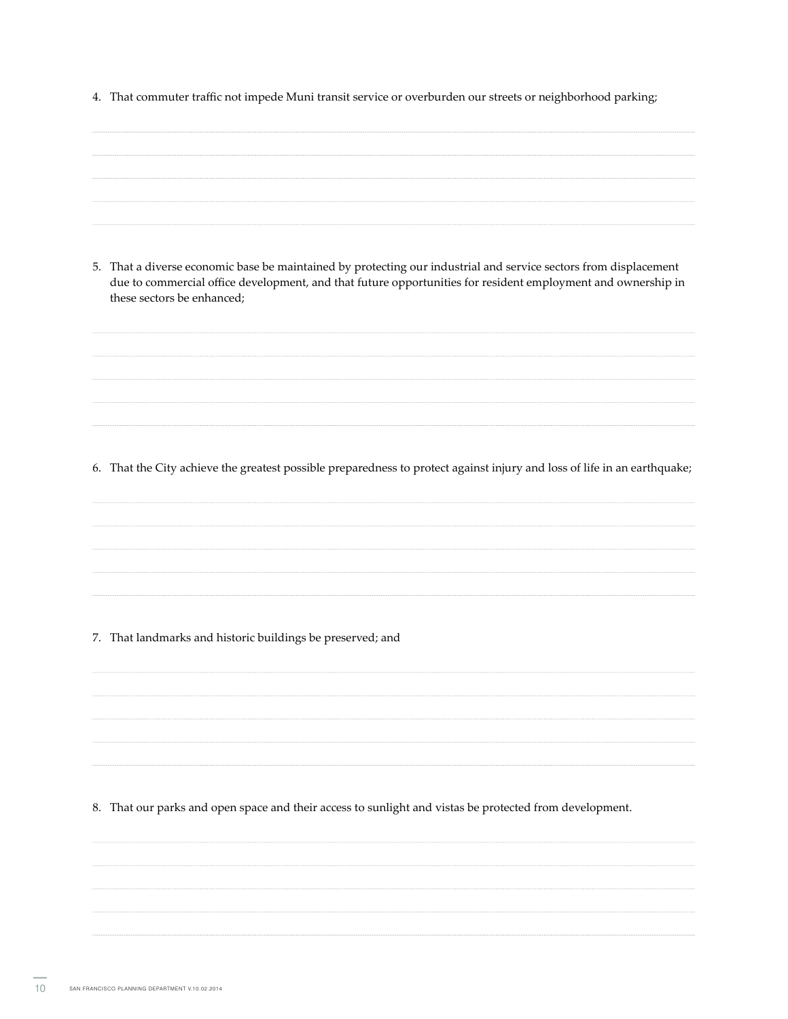4. That commuter traffic not impede Muni transit service or overburden our streets or neighborhood parking;

| 5. That a diverse economic base be maintained by protecting our industrial and service sectors from displacement<br>due to commercial office development, and that future opportunities for resident employment and ownership in<br>these sectors be enhanced; |
|----------------------------------------------------------------------------------------------------------------------------------------------------------------------------------------------------------------------------------------------------------------|
|                                                                                                                                                                                                                                                                |
| 6. That the City achieve the greatest possible preparedness to protect against injury and loss of life in an earthquake;                                                                                                                                       |
|                                                                                                                                                                                                                                                                |
| 7. That landmarks and historic buildings be preserved; and                                                                                                                                                                                                     |

8. That our parks and open space and their access to sunlight and vistas be protected from development.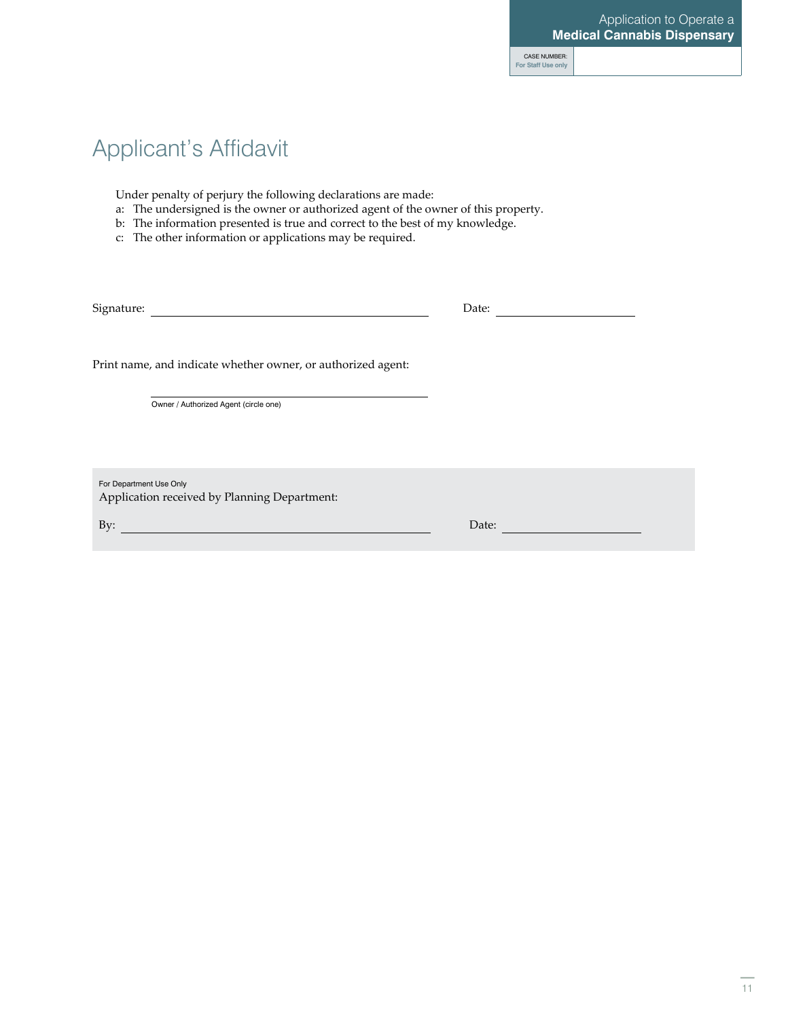## Applicant's Affidavit

Under penalty of perjury the following declarations are made:

- a: The undersigned is the owner or authorized agent of the owner of this property.
- b: The information presented is true and correct to the best of my knowledge.
- c: The other information or applications may be required.

Signature: Date:

Print name, and indicate whether owner, or authorized agent:

Owner / Authorized Agent (circle one)

For Department Use Only Application received by Planning Department:

By: Date: